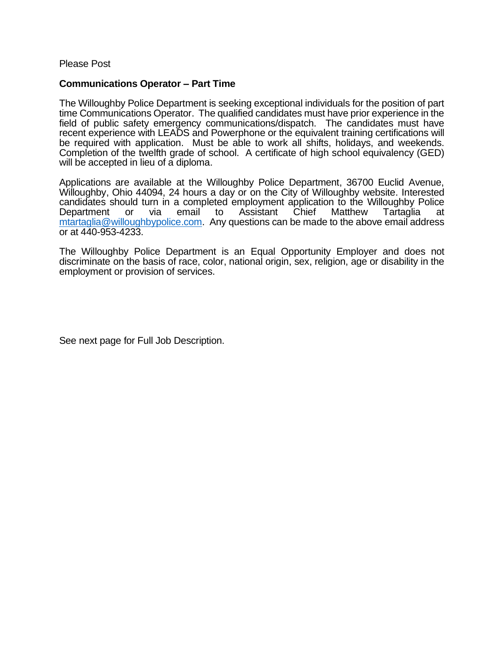Please Post

## **Communications Operator – Part Time**

The Willoughby Police Department is seeking exceptional individuals for the position of part time Communications Operator. The qualified candidates must have prior experience in the field of public safety emergency communications/dispatch. The candidates must have recent experience with LEADS and Powerphone or the equivalent training certifications will be required with application. Must be able to work all shifts, holidays, and weekends. Completion of the twelfth grade of school. A certificate of high school equivalency (GED) will be accepted in lieu of a diploma.

Applications are available at the Willoughby Police Department, 36700 Euclid Avenue, Willoughby, Ohio 44094, 24 hours a day or on the City of Willoughby website. Interested candidates should turn in a completed employment application to the Willoughby Police Department or via email to Assistant Chief Matthew Tartaglia at [mtartaglia@willoughbypolice.com.](mailto:mtartaglia@willoughbypolice.com) Any questions can be made to the above email address or at 440-953-4233.

The Willoughby Police Department is an Equal Opportunity Employer and does not discriminate on the basis of race, color, national origin, sex, religion, age or disability in the employment or provision of services.

See next page for Full Job Description.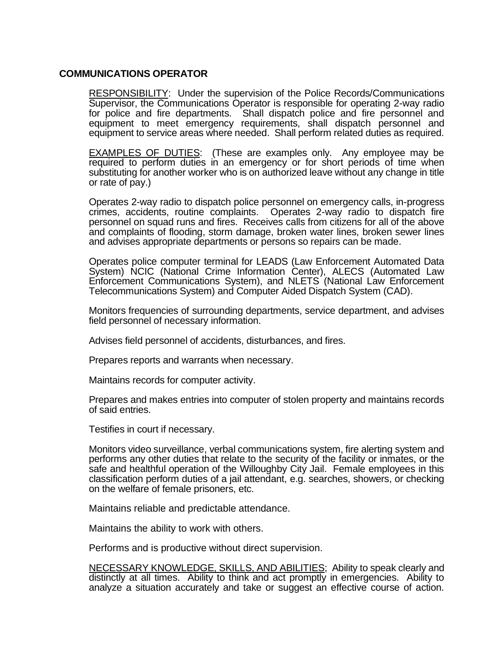## **COMMUNICATIONS OPERATOR**

RESPONSIBILITY: Under the supervision of the Police Records/Communications Supervisor, the Communications Operator is responsible for operating 2-way radio for police and fire departments. Shall dispatch police and fire personnel and equipment to meet emergency requirements, shall dispatch personnel and equipment to service areas where needed. Shall perform related duties as required.

**EXAMPLES OF DUTIES:** (These are examples only. Any employee may be required to perform duties in an emergency or for short periods of time when substituting for another worker who is on authorized leave without any change in title or rate of pay.)

Operates 2-way radio to dispatch police personnel on emergency calls, in-progress crimes, accidents, routine complaints. Operates 2-way radio to dispatch fire personnel on squad runs and fires. Receives calls from citizens for all of the above and complaints of flooding, storm damage, broken water lines, broken sewer lines and advises appropriate departments or persons so repairs can be made.

Operates police computer terminal for LEADS (Law Enforcement Automated Data System) NCIC (National Crime Information Center), ALECS (Automated Law Enforcement Communications System), and NLETS (National Law Enforcement Telecommunications System) and Computer Aided Dispatch System (CAD).

Monitors frequencies of surrounding departments, service department, and advises field personnel of necessary information.

Advises field personnel of accidents, disturbances, and fires.

Prepares reports and warrants when necessary.

Maintains records for computer activity.

Prepares and makes entries into computer of stolen property and maintains records of said entries.

Testifies in court if necessary.

Monitors video surveillance, verbal communications system, fire alerting system and performs any other duties that relate to the security of the facility or inmates, or the safe and healthful operation of the Willoughby City Jail. Female employees in this classification perform duties of a jail attendant, e.g. searches, showers, or checking on the welfare of female prisoners, etc.

Maintains reliable and predictable attendance.

Maintains the ability to work with others.

Performs and is productive without direct supervision.

NECESSARY KNOWLEDGE, SKILLS, AND ABILITIES; Ability to speak clearly and distinctly at all times. Ability to think and act promptly in emergencies. Ability to analyze a situation accurately and take or suggest an effective course of action.